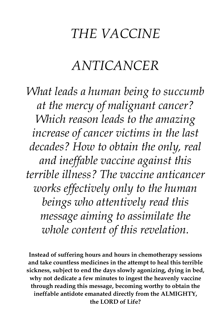## *THE VACCINE*

## *ANTICANCER*

*What leads a human being to succumb at the mercy of malignant cancer? Which reason leads to the amazing increase of cancer victims in the last decades? How to obtain the only, real and ineffable vaccine against this terrible illness? The vaccine anticancer works effectively only to the human beings who attentively read this message aiming to assimilate the whole content of this revelation.* 

**Instead of suffering hours and hours in chemotherapy sessions and take countless medicines in the attempt to heal this terrible sickness, subject to end the days slowly agonizing, dying in bed, why not dedicate a few minutes to ingest the heavenly vaccine through reading this message, becoming worthy to obtain the ineffable antidote emanated directly from the ALMIGHTY, the LORD of Life?**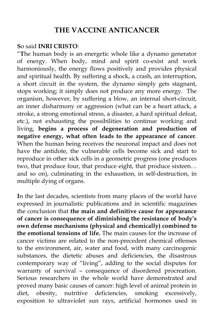## **THE VACCINE ANTICANCER**

## **S**o said **INRI CRISTO**:

"**T**he human body is an energetic whole like a dynamo generator of energy. When body, mind and spirit co-exist and work harmoniously, the energy flows positively and provides physical and spiritual health. By suffering a shock, a crash, an interruption, a short circuit in the system, the dynamo simply gets stagnant, stops working; it simply does not produce any more energy. The organism, however, by suffering a blow, an internal short-circuit, an inner disharmony or aggression (what can be a heart attack, a stroke, a strong emotional stress, a disaster, a hard spiritual defeat, etc.), not exhausting the possibilities to continue working and living, **begins a process of degeneration and production of negative energy, what often leads to the appearance of cancer**. When the human being receives the neuronal impact and does not have the antidote, the vulnerable cells become sick and start to reproduce in other sick cells in a geometric progress (one produces two, that produce four, that produce eight, that produce sixteen… and so on), culminating in the exhaustion, in self-destruction, in multiple dying of organs.

**I**n the last decades, scientists from many places of the world have expressed in journalistic publications and in scientific magazines the conclusion that **the main and definitive cause for appearance of cancer is consequence of diminishing the resistance of body's own defense mechanisms (physical and chemically) combined to the emotional tensions of life.** The main causes for the increase of cancer victims are related to the non-precedent chemical offenses to the environment, air, water and food, with many carcinogenic substances, the dietetic abuses and deficiencies, the disastrous contemporary way of "living", adding to the social disputes for warranty of survival – consequence of disordered procreation. Serious researchers in the whole world have demonstrated and proved many basic causes of cancer: high level of animal protein in diet, obesity, nutritive deficiencies, smoking excessively, exposition to ultraviolet sun rays, artificial hormones used in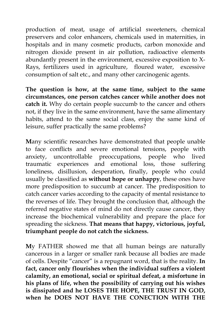production of meat, usage of artificial sweeteners, chemical preservers and color enhancers, chemicals used in maternities, in hospitals and in many cosmetic products, carbon monoxide and nitrogen dioxide present in air pollution, radioactive elements abundantly present in the environment, excessive exposition to X-Rays, fertilizers used in agriculture, floured water, excessive consumption of salt etc., and many other carcinogenic agents.

**The question is how, at the same time, subject to the same circumstances, one person catches cancer while another does not catch it.** Why do certain people succumb to the cancer and others not, if they live in the same environment, have the same alimentary habits, attend to the same social class, enjoy the same kind of leisure, suffer practically the same problems?

**M**any scientific researches have demonstrated that people unable to face conflicts and severe emotional tensions, people with anxiety, uncontrollable preoccupations, people who lived traumatic experiences and emotional loss, those suffering loneliness, disillusion, desperation, finally, people who could usually be classified as **without hope or unhappy**, these ones have more predisposition to succumb at cancer. The predisposition to catch cancer varies according to the capacity of mental resistance to the reverses of life. They brought the conclusion that, although the referred negative states of mind do not directly cause cancer, they increase the biochemical vulnerability and prepare the place for spreading the sickness. **That means that happy, victorious, joyful, triumphant people do not catch the sickness.** 

**M**y FATHER showed me that all human beings are naturally cancerous in a larger or smaller rank because all bodies are made of cells. Despite "cancer" is a repugnant word, that is the reality. **In fact, cancer only flourishes when the individual suffers a violent calamity, an emotional, social or spiritual defeat, a misfortune in his plans of life, when the possibility of carrying out his wishes is dissipated and he LOSES THE HOPE, THE TRUST IN GOD, when he DOES NOT HAVE THE CONECTION WITH THE**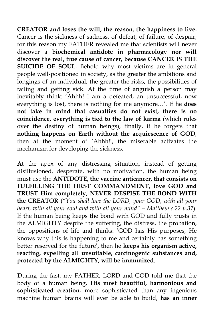**CREATOR and loses the will, the reason, the happiness to live.** Cancer is the sickness of sadness, of defeat, of failure, of despair; for this reason my FATHER revealed me that scientists will never discover a **biochemical antidote in pharmacology nor will discover the real, true cause of cancer, because CANCER IS THE SUICIDE OF SOUL.** Behold why most victims are in general people well-positioned in society, as the greater the ambitions and longings of an individual, the greater the risks, the possibilities of failing and getting sick. At the time of anguish a person may inevitably think: 'Ahhh! I am a defeated, an unsuccessful, now everything is lost, there is nothing for me anymore…'. If he **does not take in mind that casualties do not exist, there is no coincidence, everything is tied to the law of karma** (which rules over the destiny of human beings), finally, if he forgets that **nothing happens on Earth without the acquiescence of GOD**, then at the moment of 'Ahhh!', the miserable activates the mechanism for developing the sickness.

**A**t the apex of any distressing situation, instead of getting disillusioned, desperate, with no motivation, the human being must use the **ANTIDOTE, the vaccine anticancer, that consists on FULFILLING THE FIRST COMMANDMENT, love GOD and TRUST Him completely, NEVER DESPISE THE BOND WITH the CREATOR** (*"You shall love the LORD, your GOD, with all your heart, with all your soul and with all your mind" – Matthew c.22 v.37*). If the human being keeps the bond with GOD and fully trusts in the ALMIGHTY despite the suffering, the distress, the probation, the oppositions of life and thinks: 'GOD has His purposes, He knows why this is happening to me and certainly has something better reserved for the future', then he **keeps his organism active, reacting, expelling all unsuitable, carcinogenic substances and, protected by the ALMIGHTY, will be immunized**.

**D**uring the fast, my FATHER, LORD and GOD told me that the body of a human being, **His most beautiful, harmonious and sophisticated creation**, more sophisticated than any ingenious machine human brains will ever be able to build, **has an inner**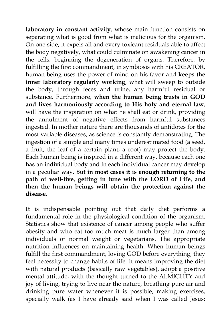**laboratory in constant activity**, whose main function consists on separating what is good from what is malicious for the organism. On one side, it expels all and every toxicant residuals able to affect the body negatively, what could culminate on awakening cancer in the cells, beginning the degeneration of organs. Therefore, by fulfilling the first commandment, in symbiosis with his CREATOR, human being uses the power of mind on his favor and **keeps the inner laboratory regularly working**, what will sweep to outside the body, through feces and urine, any harmful residual or substance. Furthermore, **when the human being trusts in GOD and lives harmoniously according to His holy and eternal law**, will have the inspiration on what he shall eat or drink, providing the annulment of negative effects from harmful substances ingested. In mother nature there are thousands of antidotes for the most variable diseases, as science is constantly demonstrating. The ingestion of a simple and many times underestimated food (a seed, a fruit, the leaf of a certain plant, a root) may protect the body. Each human being is inspired in a different way, because each one has an individual body and in each individual cancer may develop in a peculiar way. But **in most cases it is enough returning to the path of well-live, getting in tune with the LORD of Life, and then the human beings will obtain the protection against the disease**.

**I**t is indispensable pointing out that daily diet performs a fundamental role in the physiological condition of the organism. Statistics show that existence of cancer among people who suffer obesity and who eat too much meat is much larger than among individuals of normal weight or vegetarians. The appropriate nutrition influences on maintaining health. When human beings fulfill the first commandment, loving GOD before everything, they feel necessity to change habits of life. It means improving the diet with natural products (basically raw vegetables), adopt a positive mental attitude, with the thought turned to the ALMIGHTY and joy of living, trying to live near the nature, breathing pure air and drinking pure water whenever it is possible, making exercises, specially walk (as I have already said when I was called Jesus: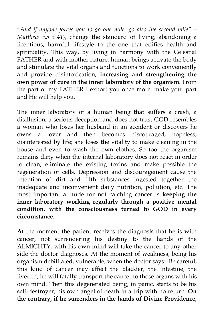"*And if anyone forces you to go one mile, go also the second mile" – Matthew c.5 v.41*), change the standard of living, abandoning a licentious, harmful lifestyle to the one that edifies health and spirituality. This way, by living in harmony with the Celestial FATHER and with mother nature, human beings activate the body and stimulate the vital organs and functions to work conveniently and provide disintoxication, **increasing and strengthening the own power of cure in the inner laboratory of the organism**. From the part of my FATHER I exhort you once more: make your part and He will help you.

**T**he inner laboratory of a human being that suffers a crash, a disillusion, a serious deception and does not trust GOD resembles a woman who loses her husband in an accident or discovers he owns a lover and then becomes discouraged, hopeless, disinterested by life; she loses the vitality to make cleaning in the house and even to wash the own clothes. So too the organism remains dirty when the internal laboratory does not react in order to clean, eliminate the existing toxins and make possible the regeneration of cells. Depression and discouragement cause the retention of dirt and filth substances ingested together the inadequate and inconvenient daily nutrition, pollution, etc. The most important attitude for not catching cancer is **keeping the inner laboratory working regularly through a positive mental condition, with the consciousness turned to GOD in every circumstance**.

**A**t the moment the patient receives the diagnosis that he is with cancer, not surrendering his destiny to the hands of the ALMIGHTY, with his own mind will take the cancer to any other side the doctor diagnoses. At the moment of weakness, being his organism debilitated, vulnerable, when the doctor says: 'Be careful, this kind of cancer may affect the bladder, the intestine, the liver…', he will fatally transport the cancer to those organs with his own mind. Then this degenerated being, in panic, starts to be his self-destroyer, his own angel of death in a trip with no return. **On the contrary, if he surrenders in the hands of Divine Providence,**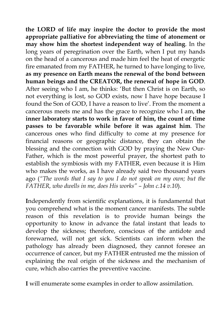**the LORD of life may inspire the doctor to provide the most appropriate palliative for abbreviating the time of atonement or may show him the shortest independent way of healing**. In the long years of peregrination over the Earth, when I put my hands on the head of a cancerous and made him feel the heat of energetic fire emanated from my FATHER, he turned to have longing to live, **as my presence on Earth means the renewal of the bond between human beings and the CREATOR, the renewal of hope in GOD**. After seeing who I am, he thinks: 'But then Christ is on Earth, so not everything is lost, so GOD exists, now I have hope because I found the Son of GOD, I have a reason to live'. From the moment a cancerous meets me and has the grace to recognize who I am, **the inner laboratory starts to work in favor of him, the count of time passes to be favorable while before it was against him**. The cancerous ones who find difficulty to come at my presence for financial reasons or geographic distance, they can obtain the blessing and the connection with GOD by praying the New Our-Father, which is the most powerful prayer, the shortest path to establish the symbiosis with my FATHER, even because it is Him who makes the works, as I have already said two thousand years ago (*"The words that I say to you I do not speak on my own; but the FATHER, who dwells in me, does His works" – John c.14 v.10*).

**I**ndependently from scientific explanations, it is fundamental that you comprehend what is the moment cancer manifests. The subtle reason of this revelation is to provide human beings the opportunity to know in advance the fatal instant that leads to develop the sickness; therefore, conscious of the antidote and forewarned, will not get sick. Scientists can inform when the pathology has already been diagnosed, they cannot foresee an occurrence of cancer, but my FATHER entrusted me the mission of explaining the real origin of the sickness and the mechanism of cure, which also carries the preventive vaccine.

**I** will enumerate some examples in order to allow assimilation.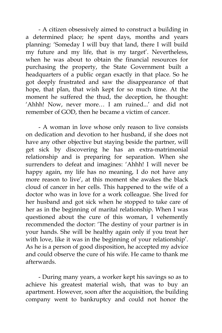- A citizen obsessively aimed to construct a building in a determined place; he spent days, months and years planning: 'Someday I will buy that land, there I will build my future and my life, that is my target'. Nevertheless, when he was about to obtain the financial resources for purchasing the property, the State Government built a headquarters of a public organ exactly in that place. So he got deeply frustrated and saw the disappearance of that hope, that plan, that wish kept for so much time. At the moment he suffered the thud, the deception, he thought: 'Ahhh! Now, never more… I am ruined...' and did not remember of GOD, then he became a victim of cancer.

 - A woman in love whose only reason to live consists on dedication and devotion to her husband, if she does not have any other objective but staying beside the partner, will get sick by discovering he has an extra-matrimonial relationship and is preparing for separation. When she surrenders to defeat and imagines: 'Ahhh! I will never be happy again, my life has no meaning, I do not have any more reason to live', at this moment she awakes the black cloud of cancer in her cells. This happened to the wife of a doctor who was in love for a work colleague. She lived for her husband and got sick when he stopped to take care of her as in the beginning of marital relationship. When I was questioned about the cure of this woman, I vehemently recommended the doctor: 'The destiny of your partner is in your hands. She will be healthy again only if you treat her with love, like it was in the beginning of your relationship'. As he is a person of good disposition, he accepted my advice and could observe the cure of his wife. He came to thank me afterwards.

 - During many years, a worker kept his savings so as to achieve his greatest material wish, that was to buy an apartment. However, soon after the acquisition, the building company went to bankruptcy and could not honor the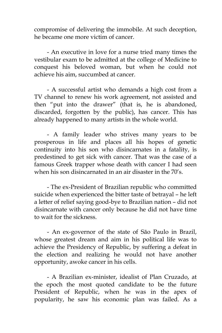compromise of delivering the immobile. At such deception, he became one more victim of cancer.

 - An executive in love for a nurse tried many times the vestibular exam to be admitted at the college of Medicine to conquest his beloved woman, but when he could not achieve his aim, succumbed at cancer.

 - A successful artist who demands a high cost from a TV channel to renew his work agreement, not assisted and then "put into the drawer" (that is, he is abandoned, discarded, forgotten by the public), has cancer. This has already happened to many artists in the whole world.

 - A family leader who strives many years to be prosperous in life and places all his hopes of genetic continuity into his son who disincarnates in a fatality, is predestined to get sick with cancer. That was the case of a famous Greek trapper whose death with cancer I had seen when his son disincarnated in an air disaster in the 70's.

 - The ex-President of Brazilian republic who committed suicide when experienced the bitter taste of betrayal – he left a letter of relief saying good-bye to Brazilian nation – did not disincarnate with cancer only because he did not have time to wait for the sickness.

 - An ex-governor of the state of São Paulo in Brazil, whose greatest dream and aim in his political life was to achieve the Presidency of Republic, by suffering a defeat in the election and realizing he would not have another opportunity, awoke cancer in his cells.

 - A Brazilian ex-minister, idealist of Plan Cruzado, at the epoch the most quoted candidate to be the future President of Republic, when he was in the apex of popularity, he saw his economic plan was failed. As a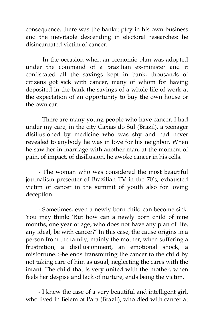consequence, there was the bankruptcy in his own business and the inevitable descending in electoral researches; he disincarnated victim of cancer.

 - In the occasion when an economic plan was adopted under the command of a Brazilian ex-minister and it confiscated all the savings kept in bank, thousands of citizens got sick with cancer, many of whom for having deposited in the bank the savings of a whole life of work at the expectation of an opportunity to buy the own house or the own car.

 - There are many young people who have cancer. I had under my care, in the city Caxias do Sul (Brazil), a teenager disillusioned by medicine who was shy and had never revealed to anybody he was in love for his neighbor. When he saw her in marriage with another man, at the moment of pain, of impact, of disillusion, he awoke cancer in his cells.

 - The woman who was considered the most beautiful journalism presenter of Brazilian TV in the 70's, exhausted victim of cancer in the summit of youth also for loving deception.

 - Sometimes, even a newly born child can become sick. You may think: 'But how can a newly born child of nine months, one year of age, who does not have any plan of life, any ideal, be with cancer?' In this case, the cause origins in a person from the family, mainly the mother, when suffering a frustration, a disillusionment, an emotional shock, a misfortune. She ends transmitting the cancer to the child by not taking care of him as usual, neglecting the cares with the infant. The child that is very united with the mother, when feels her despise and lack of nurture, ends being the victim.

 - I knew the case of a very beautiful and intelligent girl, who lived in Belem of Para (Brazil), who died with cancer at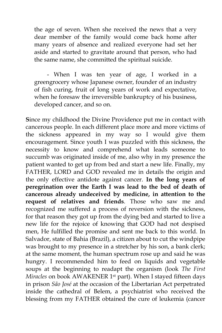the age of seven. When she received the news that a very dear member of the family would come back home after many years of absence and realized everyone had set her aside and started to gravitate around that person, who had the same name, she committed the spiritual suicide.

 - When I was ten year of age, I worked in a greengrocery whose Japanese owner, founder of an industry of fish curing, fruit of long years of work and expectative, when he foresaw the irreversible bankruptcy of his business, developed cancer, and so on.

**S**ince my childhood the Divine Providence put me in contact with cancerous people. In each different place more and more victims of the sickness appeared in my way so I would give them encouragement. Since youth I was puzzled with this sickness, the necessity to know and comprehend what leads someone to succumb was originated inside of me, also why in my presence the patient wanted to get up from bed and start a new life. Finally, my FATHER, LORD and GOD revealed me in details the origin and the only effective antidote against cancer. **In the long years of peregrination over the Earth I was lead to the bed of death of cancerous already undeceived by medicine, in attention to the request of relatives and friends**. Those who saw me and recognized me suffered a process of reversion with the sickness, for that reason they got up from the dying bed and started to live a new life for the rejoice of knowing that GOD had not despised men, He fulfilled the promise and sent me back to this world. In Salvador, state of Bahia (Brazil), a citizen about to cut the windpipe was brought to my presence in a stretcher by his son, a bank clerk; at the same moment, the human spectrum rose up and said he was hungry. I recommended him to feed on liquids and vegetable soups at the beginning to readapt the organism (look *The First Miracles* on book AWAKENER 1st part). When I stayed fifteen days in prison *São José* at the occasion of the Libertarian Act perpetrated inside the cathedral of Belem, a psychiatrist who received the blessing from my FATHER obtained the cure of leukemia (cancer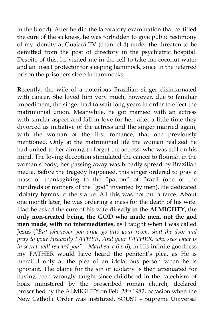in the blood). After he did the laboratory examination that certified the cure of the sickness, he was forbidden to give public testimony of my identity at Guajará TV (channel 4) under the threaten to be demitted from the post of directory in the psychiatric hospital. Despite of this, he visited me in the cell to take me coconut water and an insect protector for sleeping hammock, since in the referred prison the prisoners sleep in hammocks.

**R**ecently, the wife of a notorious Brazilian singer disincarnated with cancer. She loved him very much, however, due to familiar impediment, the singer had to wait long years in order to effect the matrimonial union. Meanwhile, he got married with an actress with similar aspect and fall in love for her; after a little time they divorced as initiative of the actress and the singer married again, with the woman of the first romance, that one previously mentioned. Only at the matrimonial life the woman realized he had united to her aiming to forget the actress, who was still on his mind. The loving deception stimulated the cancer to flourish in the woman's body; her passing away was broadly spread by Brazilian media. Before the tragedy happened, this singer ordered to pray a mass of thanksgiving to the "patron" of Brazil (one of the hundreds of mothers of the "god" invented by men). He dedicated idolatry hymns to the statue. All this was not but a farce. About one month later, he was ordering a mass for the death of his wife. Had he asked the cure of his wife **directly to the ALMIGHTY, the only non-created being, the GOD who made men, not the god men made, with no intermediaries**, as I taught when I was called Jesus (*"But whenever you pray, go into your room, shut the door and pray to your Heavenly FATHER. And your FATHER, who sees what is in secret, will reward you" – Matthew c.6 v.6*), in His infinite goodness my FATHER would have heard the penitent's plea, as He is merciful only at the plea of an idolatrous person when he is ignorant. The blame for the sin of idolatry is then attenuated for having been wrongly taught since childhood in the catechism of hoax ministered by the proscribed roman church, declared proscribed by the ALMIGHTY on Feb. 28th 1982, occasion when the New Catholic Order was instituted, SOUST – Supreme Universal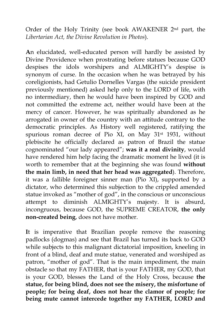Order of the Holy Trinity (see book AWAKENER 2nd part, the *Libertarian Act, the Divine Revolution in Photos*).

**A**n elucidated, well-educated person will hardly be assisted by Divine Providence when prostrating before statues because GOD despises the idols worshipers and ALMIGHTY's despise is synonym of curse. In the occasion when he was betrayed by his coreligionists, had Getulio Dornelles Vargas (the suicide president previously mentioned) asked help only to the LORD of life, with no intermediary, then he would have been inspired by GOD and not committed the extreme act, neither would have been at the mercy of cancer. However, he was spiritually abandoned as he arrogated in owner of the country with an attitude contrary to the democratic principles. As History well registered, ratifying the spurious roman decree of Pio XI, on May 31st 1931, without plebiscite he officially declared as patron of Brazil the statue cognominated "our lady appeared"; **was it a real divinity**, would have rendered him help facing the dramatic moment he lived (it is worth to remember that at the beginning she was found **without the main limb, in need that her head was aggregated**). Therefore, it was a fallible foreigner sinner man (Pio XI), supported by a dictator, who determined this subjection to the crippled amended statue invoked as "mother of god", in the conscious or unconscious attempt to diminish ALMIGHTY's majesty. It is absurd, incongruous, because GOD, the SUPREME CREATOR, **the only non-created being**, does not have mother.

**I**t is imperative that Brazilian people remove the reasoning padlocks (dogmas) and see that Brazil has turned its back to GOD while subjects to this malignant dictatorial imposition, kneeling in front of a blind, deaf and mute statue, venerated and worshiped as patron, "mother of god". That is the main impediment, the main obstacle so that my FATHER, that is your FATHER, my GOD, that is your GOD, blesses the Land of the Holy Cross, because **the statue, for being blind, does not see the misery, the misfortune of people; for being deaf, does not hear the clamor of people; for being mute cannot intercede together my FATHER, LORD and**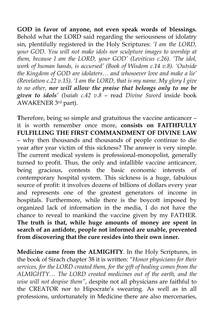**GOD in favor of anyone, not even speak words of blessings.** Behold what the LORD said regarding the seriousness of idolatry sin, plentifully registered in the Holy Scriptures: *'I am the LORD, your GOD. You will not make idols nor sculpture images to worship at them, because I am the LORD, your GOD' (Leviticus c.26). 'The idol, work of human hands, is accursed' (Book of Wisdom c.14 v.8). 'Outside the Kingdom of GOD are idolaters… and whosoever love and make a lie' (Revelation c.22 v.15). 'I am the LORD, that is my name. My glory I give to no other, nor will allow the praise that belongs only to me be given to idols' (Isaiah c.42 v.8* – read *Divine Sword* inside book AWAKENER 3rd part).

**T**herefore, being so simple and gratuitous the vaccine anticancer – it is worth remember once more, **consists on FAITHFULLY FULFILLING THE FIRST COMMANDMENT OF DIVINE LAW** – why then thousands and thousands of people continue to die year after year victim of this sickness? The answer is very simple. The current medical system is professional-monopolist, generally turned to profit. Thus, the only and infallible vaccine anticancer, being gracious, contests the basic economic interests of contemporary hospital system. This sickness is a huge, fabulous source of profit: it involves dozens of billions of dollars every year and represents one of the greatest generators of income in hospitals. Furthermore, while there is the boycott imposed by organized lack of information in the media, I do not have the chance to reveal to mankind the vaccine given by my FATHER. **The truth is that, while huge amounts of money are spent in search of an antidote, people not informed are unable, prevented from discovering that the cure resides into their own inner.** 

**Medicine came from the ALMIGHTY**. In the Holy Scriptures, in the book of Sirach chapter 38 it is written: *"Honor physicians for their services, for the LORD created them, for the gift of healing comes from the ALMIGHTY… The LORD created medicines out of the earth, and the wise will not despise them"*, despite not all physicians are faithful to the CREATOR nor to Hipocrate's swearing. As well as in all professions, unfortunately in Medicine there are also mercenaries,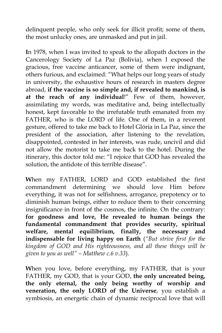delinquent people, who only seek for illicit profit; some of them, the most unlucky ones, are unmasked and put in jail.

**I**n 1978, when I was invited to speak to the allopath doctors in the Cancerology Society of La Paz (Bolivia), when I exposed the gracious, free vaccine anticancer, some of them were indignant, others furious, and exclaimed: "What helps our long years of study in university, the exhaustive hours of research in masters degree abroad, **if the vaccine is so simple and, if revealed to mankind, is at the reach of any individual**!" Few of them, however, assimilating my words, was meditative and, being intellectually honest, kept favorable to the irrefutable truth emanated from my FATHER, who is the LORD of life. One of them, in a reverent gesture, offered to take me back to Hotel Glória in La Paz, since the president of the association, after listening to the revelation, disappointed, contested in her interests, was rude, uncivil and did not allow the motorist to take me back to the hotel. During the itinerary, this doctor told me: "I rejoice that GOD has revealed the solution, the antidote of this terrible disease".

**W**hen my FATHER, LORD and GOD established the first commandment determining we should love Him before everything, it was not for selfishness, arrogance, prepotency or to diminish human beings, either to reduce them to their concerning insignificance in front of the cosmos, the infinite. On the contrary: **for goodness and love, He revealed to human beings the fundamental commandment that provides security, spiritual welfare, mental equilibrium, finally, the necessary and indispensable for living happy on Earth** (*"But strive first for the kingdom of GOD and His righteousness, and all these things will be given to you as well" – Matthew c.6 v.33*).

**W**hen you love, before everything, my FATHER, that is your FATHER, my GOD, that is your GOD, **the only uncreated being, the only eternal, the only being worthy of worship and veneration, the only LORD of the Universe**, you establish a symbiosis, an energetic chain of dynamic reciprocal love that will